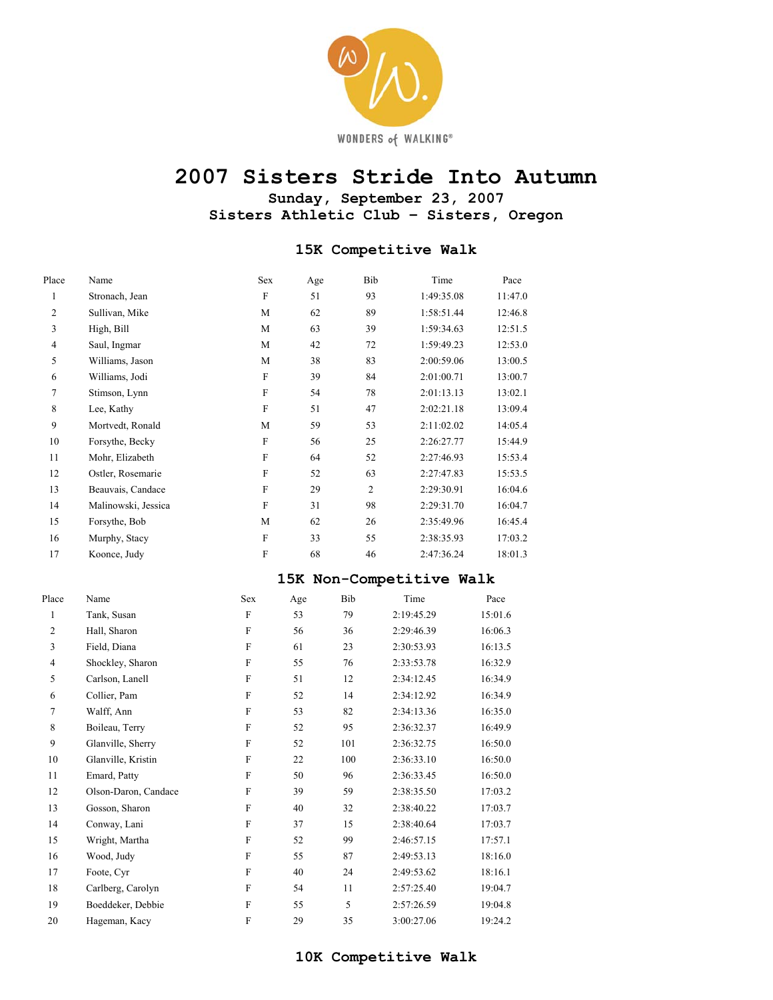

# **2007 Sisters Stride Into Autumn**

**Sunday, September 23, 2007 Sisters Athletic Club – Sisters, Oregon** 

#### **15K Competitive Walk**

| Place          | Name                | Sex                       | Age | Bib | Time       | Pace    |
|----------------|---------------------|---------------------------|-----|-----|------------|---------|
| 1              | Stronach, Jean      | F                         | 51  | 93  | 1:49:35.08 | 11:47.0 |
| $\overline{c}$ | Sullivan, Mike      | M                         | 62  | 89  | 1:58:51.44 | 12:46.8 |
| 3              | High, Bill          | M                         | 63  | 39  | 1:59:34.63 | 12:51.5 |
| $\overline{4}$ | Saul, Ingmar        | M                         | 42  | 72  | 1:59:49.23 | 12:53.0 |
| 5              | Williams, Jason     | M                         | 38  | 83  | 2:00:59.06 | 13:00.5 |
| 6              | Williams, Jodi      | F                         | 39  | 84  | 2:01:00.71 | 13:00.7 |
| 7              | Stimson, Lynn       | F                         | 54  | 78  | 2:01:13.13 | 13:02.1 |
| 8              | Lee, Kathy          | F                         | 51  | 47  | 2:02:21.18 | 13:09.4 |
| 9              | Mortvedt, Ronald    | M                         | 59  | 53  | 2:11:02.02 | 14:05.4 |
| 10             | Forsythe, Becky     | $\rm F$                   | 56  | 25  | 2:26:27.77 | 15:44.9 |
| 11             | Mohr, Elizabeth     | F                         | 64  | 52  | 2:27:46.93 | 15:53.4 |
| 12             | Ostler, Rosemarie   | $\boldsymbol{\mathrm{F}}$ | 52  | 63  | 2:27:47.83 | 15:53.5 |
| 13             | Beauvais, Candace   | F                         | 29  | 2   | 2:29:30.91 | 16:04.6 |
| 14             | Malinowski, Jessica | F                         | 31  | 98  | 2:29:31.70 | 16:04.7 |
| 15             | Forsythe, Bob       | M                         | 62  | 26  | 2:35:49.96 | 16:45.4 |
| 16             | Murphy, Stacy       | F                         | 33  | 55  | 2:38:35.93 | 17:03.2 |
| 17             | Koonce, Judy        | $\overline{F}$            | 68  | 46  | 2:47:36.24 | 18:01.3 |
|                |                     |                           |     |     |            |         |

#### **15K Non-Competitive Walk**

| Place          | Name                 | Sex                       | Age | Bib | Time       | Pace    |
|----------------|----------------------|---------------------------|-----|-----|------------|---------|
| 1              | Tank, Susan          | F                         | 53  | 79  | 2:19:45.29 | 15:01.6 |
| 2              | Hall, Sharon         | $\mathbf F$               | 56  | 36  | 2:29:46.39 | 16:06.3 |
| 3              | Field, Diana         | $\boldsymbol{\mathrm{F}}$ | 61  | 23  | 2:30:53.93 | 16:13.5 |
| $\overline{4}$ | Shockley, Sharon     | F                         | 55  | 76  | 2:33:53.78 | 16:32.9 |
| 5              | Carlson, Lanell      | F                         | 51  | 12  | 2:34:12.45 | 16:34.9 |
| 6              | Collier, Pam         | $\rm F$                   | 52  | 14  | 2:34:12.92 | 16:34.9 |
| 7              | Walff, Ann           | $\overline{F}$            | 53  | 82  | 2:34:13.36 | 16:35.0 |
| 8              | Boileau, Terry       | $\rm F$                   | 52  | 95  | 2:36:32.37 | 16:49.9 |
| 9              | Glanville, Sherry    | $\rm F$                   | 52  | 101 | 2:36:32.75 | 16:50.0 |
| 10             | Glanville, Kristin   | F                         | 22  | 100 | 2:36:33.10 | 16:50.0 |
| 11             | Emard, Patty         | F                         | 50  | 96  | 2:36:33.45 | 16:50.0 |
| 12             | Olson-Daron, Candace | $\overline{F}$            | 39  | 59  | 2:38:35.50 | 17:03.2 |
| 13             | Gosson, Sharon       | $\mathbf F$               | 40  | 32  | 2:38:40.22 | 17:03.7 |
| 14             | Conway, Lani         | F                         | 37  | 15  | 2:38:40.64 | 17:03.7 |
| 15             | Wright, Martha       | F                         | 52  | 99  | 2:46:57.15 | 17:57.1 |
| 16             | Wood, Judy           | $\mathbf F$               | 55  | 87  | 2:49:53.13 | 18:16.0 |
| 17             | Foote, Cyr           | $\overline{F}$            | 40  | 24  | 2:49:53.62 | 18:16.1 |
| 18             | Carlberg, Carolyn    | $\boldsymbol{\mathrm{F}}$ | 54  | 11  | 2:57:25.40 | 19:04.7 |
| 19             | Boeddeker, Debbie    | $\mathbf F$               | 55  | 5   | 2:57:26.59 | 19:04.8 |
| 20             | Hageman, Kacy        | F                         | 29  | 35  | 3:00:27.06 | 19:24.2 |
|                |                      |                           |     |     |            |         |